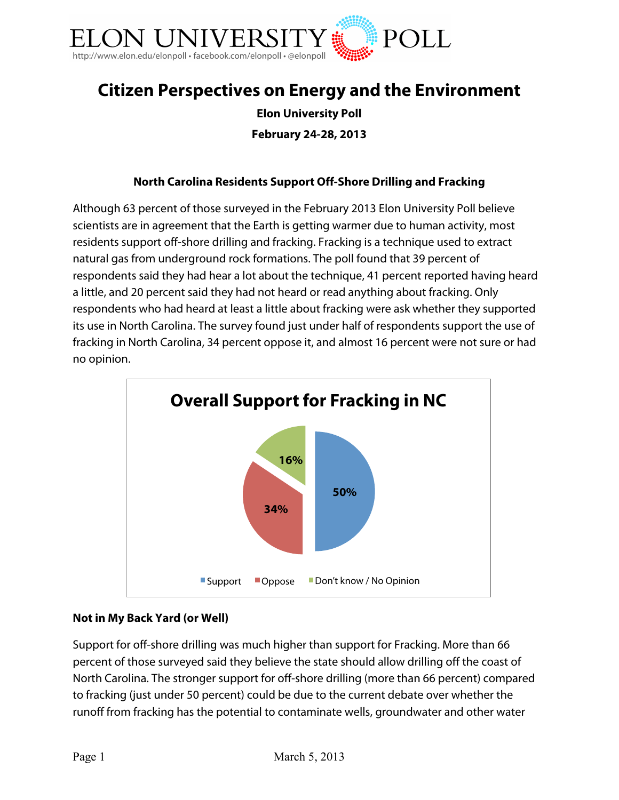

# **Citizen Perspectives on Energy and the Environment**

## **Elon University Poll February 24-28, 2013**

#### **North Carolina Residents Support Off-Shore Drilling and Fracking**

Although 63 percent of those surveyed in the February 2013 Elon University Poll believe scientists are in agreement that the Earth is getting warmer due to human activity, most residents support off-shore drilling and fracking. Fracking is a technique used to extract natural gas from underground rock formations. The poll found that 39 percent of respondents said they had hear a lot about the technique, 41 percent reported having heard a little, and 20 percent said they had not heard or read anything about fracking. Only respondents who had heard at least a little about fracking were ask whether they supported its use in North Carolina. The survey found just under half of respondents support the use of fracking in North Carolina, 34 percent oppose it, and almost 16 percent were not sure or had no opinion.



#### **Not in My Back Yard (or Well)**

Support for off-shore drilling was much higher than support for Fracking. More than 66 percent of those surveyed said they believe the state should allow drilling off the coast of North Carolina. The stronger support for off-shore drilling (more than 66 percent) compared to fracking (just under 50 percent) could be due to the current debate over whether the runoff from fracking has the potential to contaminate wells, groundwater and other water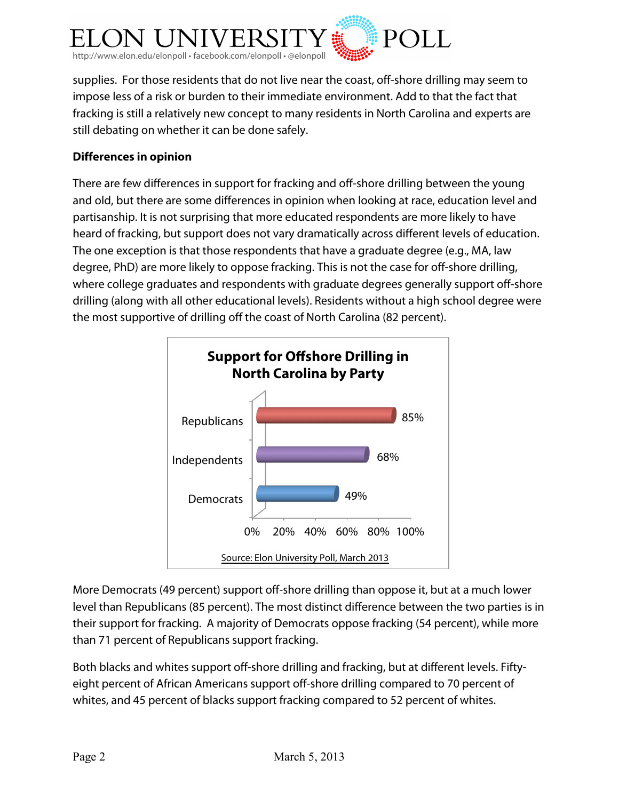

supplies. For those residents that do not live near the coast, off-shore drilling may seem to impose less of a risk or burden to their immediate environment. Add to that the fact that fracking is still a relatively new concept to many residents in North Carolina and experts are still debating on whether it can be done safely.

#### **Differences in opinion**

There are few differences in support for fracking and off-shore drilling between the young and old, but there are some differences in opinion when looking at race, education level and partisanship. It is not surprising that more educated respondents are more likely to have heard of fracking, but support does not vary dramatically across different levels of education. The one exception is that those respondents that have a graduate degree (e.g., MA, law degree, PhD) are more likely to oppose fracking. This is not the case for off-shore drilling, where college graduates and respondents with graduate degrees generally support off-shore drilling (along with all other educational levels). Residents without a high school degree were the most supportive of drilling off the coast of North Carolina (82 percent).



More Democrats (49 percent) support off-shore drilling than oppose it, but at a much lower level than Republicans (85 percent). The most distinct difference between the two parties is in their support for fracking. A majority of Democrats oppose fracking (54 percent), while more than 71 percent of Republicans support fracking.

Both blacks and whites support off-shore drilling and fracking, but at different levels. Fiftyeight percent of African Americans support off-shore drilling compared to 70 percent of whites, and 45 percent of blacks support fracking compared to 52 percent of whites.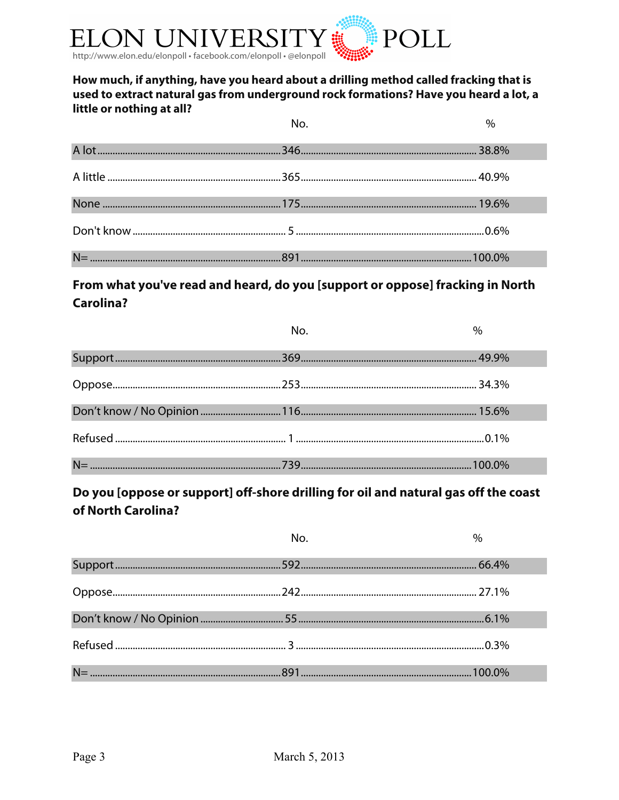

How much, if anything, have you heard about a drilling method called fracking that is used to extract natural gas from underground rock formations? Have you heard a lot, a little or nothing at all?  $\ddot{\phantom{a}}$ 

| No. |  |
|-----|--|
|     |  |
|     |  |
|     |  |
|     |  |
|     |  |

## From what you've read and heard, do you [support or oppose] fracking in North **Carolina?**

| No. |  |
|-----|--|
|     |  |
|     |  |
|     |  |
|     |  |
|     |  |

## Do you [oppose or support] off-shore drilling for oil and natural gas off the coast of North Carolina?

| No. | 0/2 |
|-----|-----|
|     |     |
|     |     |
|     |     |
|     |     |
|     |     |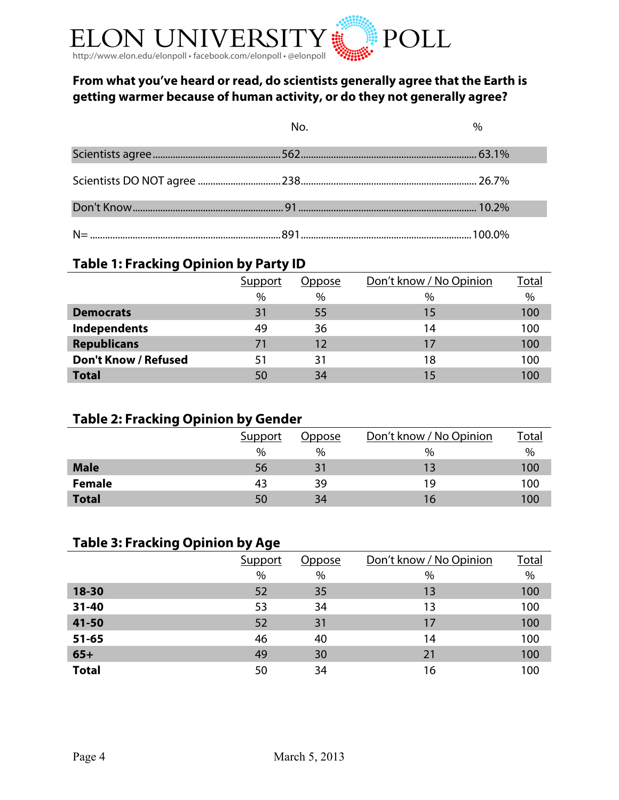

### **From what you've heard or read, do scientists generally agree that the Earth is getting warmer because of human activity, or do they not generally agree?**

| No. |  |
|-----|--|
|     |  |
|     |  |
|     |  |
|     |  |

### **Table 1: Fracking Opinion by Party ID**

|                             | Support | Oppose        | Don't know / No Opinion | <b>Total</b> |
|-----------------------------|---------|---------------|-------------------------|--------------|
|                             | $\%$    | $\frac{0}{0}$ | $\%$                    | $\%$         |
| <b>Democrats</b>            | 31      | 55            | 15                      | 100          |
| <b>Independents</b>         | 49      | 36            | 14                      | 100          |
| <b>Republicans</b>          | 71      | 12            | 17                      | 100          |
| <b>Don't Know / Refused</b> | 51      | 31            | 18                      | 100          |
| <b>Total</b>                | 50      | 34            |                         | 100          |

## **Table 2: Fracking Opinion by Gender**

|               | Support | Oppose | Don't know / No Opinion | Total        |
|---------------|---------|--------|-------------------------|--------------|
|               | $\%$    | $\%$   | %                       | %            |
| <b>Male</b>   | 56      |        |                         | 100.         |
| <b>Female</b> | 43      | 39     | 19                      | 100          |
| <b>Total</b>  |         | 34     | 16                      | $00^{\circ}$ |

### **Table 3: Fracking Opinion by Age**

|              | Support | <b>Oppose</b> | Don't know / No Opinion | <b>Total</b> |
|--------------|---------|---------------|-------------------------|--------------|
|              | %       | %             | %                       | %            |
| 18-30        | 52      | 35            | 13                      | 100          |
| $31 - 40$    | 53      | 34            | 13                      | 100          |
| 41-50        | 52      | 31            | 17                      | 100          |
| $51 - 65$    | 46      | 40            | 14                      | 100          |
| $65+$        | 49      | 30            | 21                      | 100          |
| <b>Total</b> | 50      | 34            | 16                      | 100          |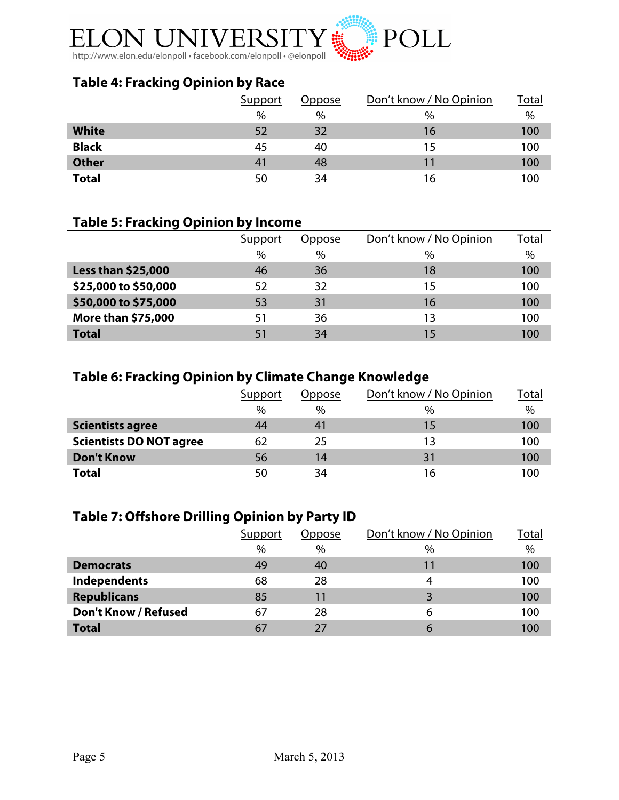

## **Table 4: Fracking Opinion by Race**

|              | Support | Oppose | Don't know / No Opinion | <u>Total</u> |
|--------------|---------|--------|-------------------------|--------------|
|              | %       | $\%$   | $\%$                    | %            |
| <b>White</b> | 52      | 32     | 16                      | 100          |
| <b>Black</b> | 45      | 40     | 15                      | 100          |
| <b>Other</b> | 41      | 48     | 11                      | 100          |
| <b>Total</b> | 50      | 34     | 16                      | 100          |

### **Table 5: Fracking Opinion by Income**

|                           | Support | Oppose | Don't know / No Opinion | Total |
|---------------------------|---------|--------|-------------------------|-------|
|                           | $\%$    | $\%$   | $\%$                    | $\%$  |
| <b>Less than \$25,000</b> | 46      | 36     | 18                      | 100   |
| \$25,000 to \$50,000      | 52      | 32     | 15                      | 100   |
| \$50,000 to \$75,000      | 53      | 31     | 16                      | 100   |
| More than \$75,000        | 51      | 36     | 13                      | 100   |
| <b>Total</b>              | 51      | 34     | 15                      | 100   |

## **Table 6: Fracking Opinion by Climate Change Knowledge**

|                                | Support | Oppose | Don't know / No Opinion | <u>Total</u> |
|--------------------------------|---------|--------|-------------------------|--------------|
|                                | $\%$    | $\%$   | $\%$                    | %            |
| <b>Scientists agree</b>        | 44      | 41     | 15                      | 100          |
| <b>Scientists DO NOT agree</b> | 62      | 25     | 13                      | 100          |
| <b>Don't Know</b>              | 56      | 14     | 31                      | 100          |
| <b>Total</b>                   | 50      | 34     | 16                      | 100          |

### **Table 7: Offshore Drilling Opinion by Party ID**

|                             | Support | Oppose | Don't know / No Opinion | <b>Total</b> |
|-----------------------------|---------|--------|-------------------------|--------------|
|                             | $\%$    | $\%$   | $\frac{0}{0}$           | $\%$         |
| <b>Democrats</b>            | 49      | 40     |                         | 100          |
| Independents                | 68      | 28     | 4                       | 100          |
| <b>Republicans</b>          | 85      | 11     |                         | 100          |
| <b>Don't Know / Refused</b> | 67      | 28     | 6                       | 100          |
| <b>Total</b>                |         | 27     | 6                       | 100          |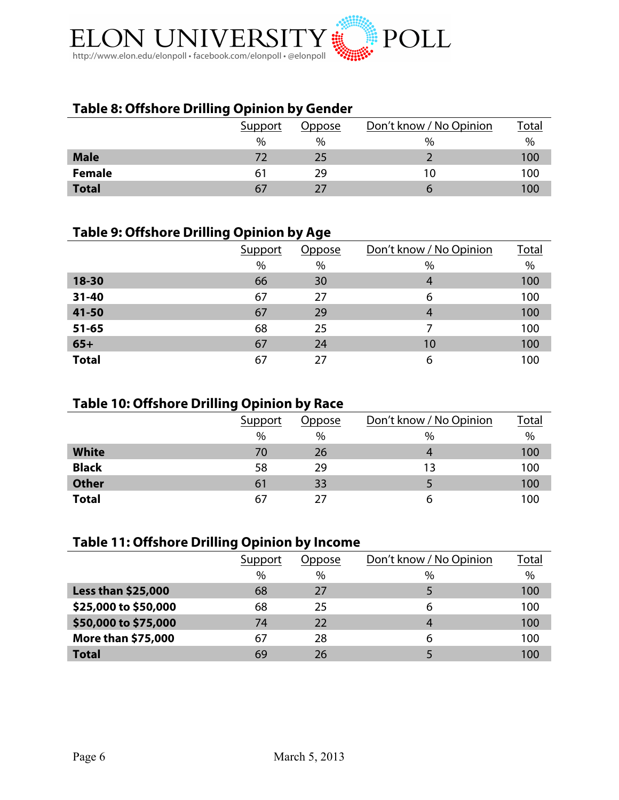

# **Table 8: Offshore Drilling Opinion by Gender**

|               | Support | Oppose | Don't know / No Opinion | Total |
|---------------|---------|--------|-------------------------|-------|
|               | $\%$    | $\%$   | %                       | %     |
| <b>Male</b>   |         |        |                         | '00   |
| <b>Female</b> |         | 29     | 10                      | 100   |
| <b>Total</b>  |         |        | n                       | -00   |

### **Table 9: Offshore Drilling Opinion by Age**

|              | Support | Oppose | Don't know / No Opinion | <b>Total</b> |
|--------------|---------|--------|-------------------------|--------------|
|              | $\%$    | $\%$   | $\%$                    | $\%$         |
| 18-30        | 66      | 30     | 4                       | 100          |
| $31 - 40$    | 67      | 27     | 6                       | 100          |
| 41-50        | 67      | 29     | 4                       | 100          |
| $51 - 65$    | 68      | 25     |                         | 100          |
| $65+$        | 67      | 24     | 10                      | 100          |
| <b>Total</b> | 67      | 27     | 6                       | 100          |

### **Table 10: Offshore Drilling Opinion by Race**

|              | Support | Oppose | Don't know / No Opinion | <b>Total</b>  |
|--------------|---------|--------|-------------------------|---------------|
|              | $\%$    | $\%$   | $\%$                    | $\frac{0}{0}$ |
| <b>White</b> | 70      | 26     |                         | 100           |
| <b>Black</b> | 58      | 29     | 13                      | 100           |
| <b>Other</b> | 61      | 33     |                         | 100           |
| <b>Total</b> | 67      | 27     |                         | 100           |

# **Table 11: Offshore Drilling Opinion by Income**

|                           | Support | Oppose | Don't know / No Opinion | Total |
|---------------------------|---------|--------|-------------------------|-------|
|                           | $\%$    | $\%$   | $\%$                    | $\%$  |
| <b>Less than \$25,000</b> | 68      | 27     |                         | 100   |
| \$25,000 to \$50,000      | 68      | 25     | 6                       | 100   |
| \$50,000 to \$75,000      | 74      | 22     | 4                       | 100   |
| <b>More than \$75,000</b> | 67      | 28     | 6                       | 100   |
| <b>Total</b>              | 69      | 26     |                         | 100   |